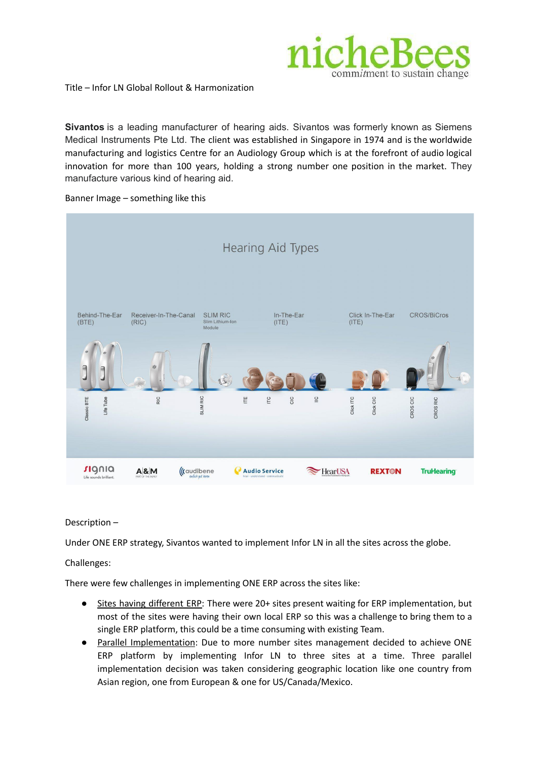

Title – Infor LN Global Rollout & Harmonization

**Sivantos** is a leading manufacturer of hearing aids. Sivantos was formerly known as Siemens Medical Instruments Pte Ltd. The client was established in Singapore in 1974 and is the worldwide manufacturing and logistics Centre for an Audiology Group which is at the forefront of audio logical innovation for more than 100 years, holding a strong number one position in the market. They manufacture various kind of hearing aid.



Banner Image – something like this

## Description –

Under ONE ERP strategy, Sivantos wanted to implement Infor LN in all the sites across the globe.

## Challenges:

There were few challenges in implementing ONE ERP across the sites like:

- Sites having different ERP: There were 20+ sites present waiting for ERP implementation, but most of the sites were having their own local ERP so this was a challenge to bring them to a single ERP platform, this could be a time consuming with existing Team.
- Parallel Implementation: Due to more number sites management decided to achieve ONE ERP platform by implementing Infor LN to three sites at a time. Three parallel implementation decision was taken considering geographic location like one country from Asian region, one from European & one for US/Canada/Mexico.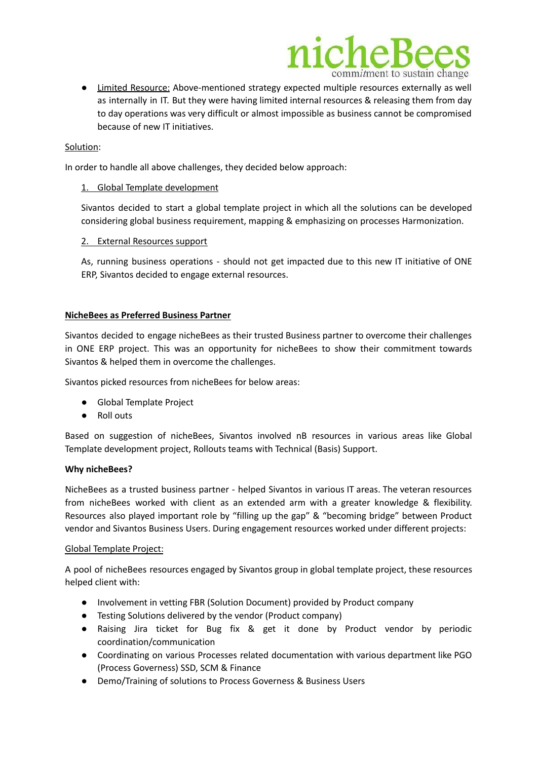

● Limited Resource: Above-mentioned strategy expected multiple resources externally as well as internally in IT. But they were having limited internal resources & releasing them from day to day operations was very difficult or almost impossible as business cannot be compromised because of new IT initiatives.

### Solution:

In order to handle all above challenges, they decided below approach:

#### 1. Global Template development

Sivantos decided to start a global template project in which all the solutions can be developed considering global business requirement, mapping & emphasizing on processes Harmonization.

#### 2. External Resources support

As, running business operations - should not get impacted due to this new IT initiative of ONE ERP, Sivantos decided to engage external resources.

#### **NicheBees as Preferred Business Partner**

Sivantos decided to engage nicheBees as their trusted Business partner to overcome their challenges in ONE ERP project. This was an opportunity for nicheBees to show their commitment towards Sivantos & helped them in overcome the challenges.

Sivantos picked resources from nicheBees for below areas:

- Global Template Project
- Roll outs

Based on suggestion of nicheBees, Sivantos involved nB resources in various areas like Global Template development project, Rollouts teams with Technical (Basis) Support.

#### **Why nicheBees?**

NicheBees as a trusted business partner - helped Sivantos in various IT areas. The veteran resources from nicheBees worked with client as an extended arm with a greater knowledge & flexibility. Resources also played important role by "filling up the gap" & "becoming bridge" between Product vendor and Sivantos Business Users. During engagement resources worked under different projects:

## Global Template Project:

A pool of nicheBees resources engaged by Sivantos group in global template project, these resources helped client with:

- Involvement in vetting FBR (Solution Document) provided by Product company
- Testing Solutions delivered by the vendor (Product company)
- Raising Jira ticket for Bug fix & get it done by Product vendor by periodic coordination/communication
- Coordinating on various Processes related documentation with various department like PGO (Process Governess) SSD, SCM & Finance
- Demo/Training of solutions to Process Governess & Business Users